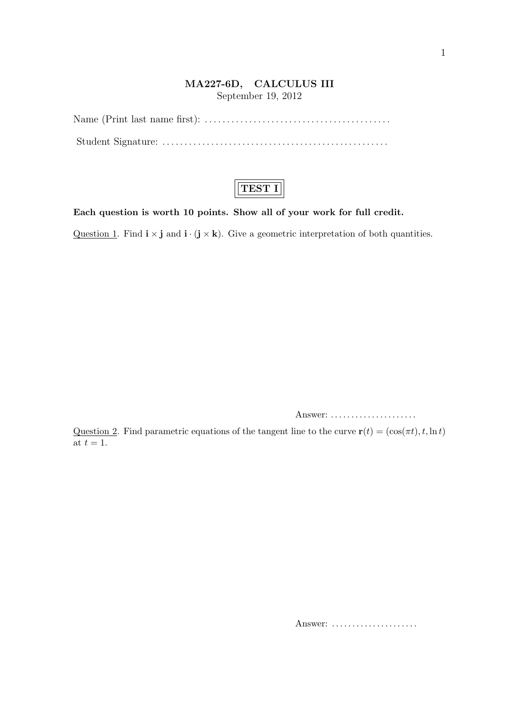## **MA227-6D, CALCULUS III**

September 19, 2012

## **TEST I**

**Each question is worth 10 points. Show all of your work for full credit.**

Question 1. Find  $\mathbf{i} \times \mathbf{j}$  and  $\mathbf{i} \cdot (\mathbf{j} \times \mathbf{k})$ . Give a geometric interpretation of both quantities.

Answer: . . . . . . . . . . . . . . . . . . . . .

Question 2. Find parametric equations of the tangent line to the curve  $\mathbf{r}(t) = (\cos(\pi t), t, \ln t)$ at  $t=1$ .

Answer: *. . . . . . . . . . . . . . . . . . . . .*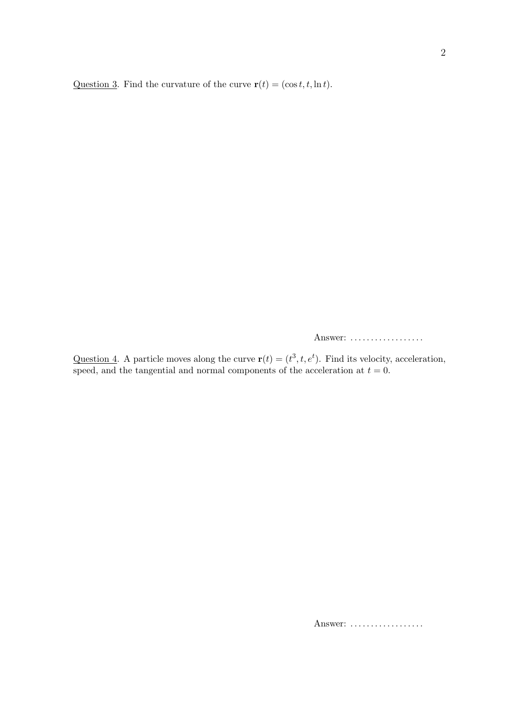Question 3. Find the curvature of the curve  $\mathbf{r}(t) = (\cos t, t, \ln t)$ .

Answer: *. . . . . . . . . . . . . . . . . .*

Question 4. A particle moves along the curve  $\mathbf{r}(t) = (t^3, t, e^t)$ . Find its velocity, acceleration, speed, and the tangential and normal components of the acceleration at  $t = 0$ .

Answer: *. . . . . . . . . . . . . . . . . .*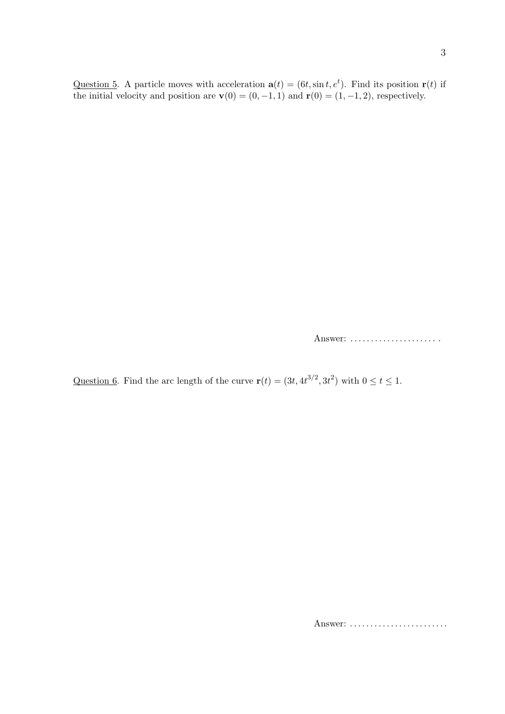Question 5. A particle moves with acceleration  $\mathbf{a}(t) = (6t, \sin t, e^t)$ . Find its position  $\mathbf{r}(t)$  if the initial velocity and position are  $\mathbf{v}(0) = (0, -1, 1)$  and  $\mathbf{r}(0) = (1, -1, 2)$ , respectively.

Answer: *. . . . . . . . . . . . . . . . . . . . .* .

Question 6. Find the arc length of the curve  $\mathbf{r}(t) = (3t, 4t^{3/2}, 3t^2)$  with  $0 \le t \le 1$ .

Answer: *. . . . . . . . . . . . . . . . . . . . . . . .*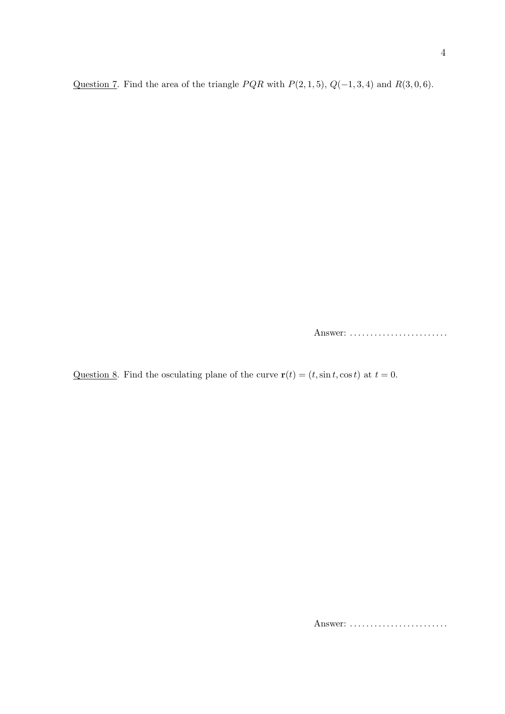Question 7. Find the area of the triangle *P QR* with *P*(2*,* 1*,* 5), *Q*(*−*1*,* 3*,* 4) and *R*(3*,* 0*,* 6).

Answer: *. . . . . . . . . . . . . . . . . . . . . . . .*

Question 8. Find the osculating plane of the curve  $\mathbf{r}(t) = (t, \sin t, \cos t)$  at  $t = 0$ .

Answer: *. . . . . . . . . . . . . . . . . . . . . . . .*